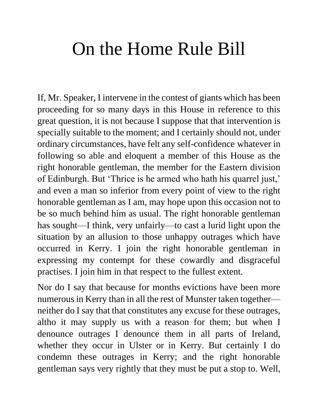## On the Home Rule Bill

If, Mr. Speaker, I intervene in the contest of giants which has been proceeding for so many days in this House in reference to this great question, it is not because I suppose that that intervention is specially suitable to the moment; and I certainly should not, under ordinary circumstances, have felt any self-confidence whatever in following so able and eloquent a member of this House as the right honorable gentleman, the member for the Eastern division of Edinburgh. But 'Thrice is he armed who hath his quarrel just,' and even a man so inferior from every point of view to the right honorable gentleman as I am, may hope upon this occasion not to be so much behind him as usual. The right honorable gentleman has sought—I think, very unfairly—to cast a lurid light upon the situation by an allusion to those unhappy outrages which have occurred in Kerry. I join the right honorable gentleman in expressing my contempt for these cowardly and disgraceful practises. I join him in that respect to the fullest extent.

Nor do I say that because for months evictions have been more numerous in Kerry than in all the rest of Munster taken together neither do I say that that constitutes any excuse for these outrages, altho it may supply us with a reason for them; but when I denounce outrages I denounce them in all parts of Ireland, whether they occur in Ulster or in Kerry. But certainly I do condemn these outrages in Kerry; and the right honorable gentleman says very rightly that they must be put a stop to. Well,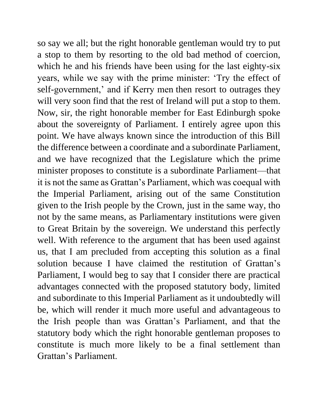so say we all; but the right honorable gentleman would try to put a stop to them by resorting to the old bad method of coercion, which he and his friends have been using for the last eighty-six years, while we say with the prime minister: 'Try the effect of self-government,' and if Kerry men then resort to outrages they will very soon find that the rest of Ireland will put a stop to them. Now, sir, the right honorable member for East Edinburgh spoke about the sovereignty of Parliament. I entirely agree upon this point. We have always known since the introduction of this Bill the difference between a coordinate and a subordinate Parliament, and we have recognized that the Legislature which the prime minister proposes to constitute is a subordinate Parliament—that it is not the same as Grattan's Parliament, which was coequal with the Imperial Parliament, arising out of the same Constitution given to the Irish people by the Crown, just in the same way, tho not by the same means, as Parliamentary institutions were given to Great Britain by the sovereign. We understand this perfectly well. With reference to the argument that has been used against us, that I am precluded from accepting this solution as a final solution because I have claimed the restitution of Grattan's Parliament, I would beg to say that I consider there are practical advantages connected with the proposed statutory body, limited and subordinate to this Imperial Parliament as it undoubtedly will be, which will render it much more useful and advantageous to the Irish people than was Grattan's Parliament, and that the statutory body which the right honorable gentleman proposes to constitute is much more likely to be a final settlement than Grattan's Parliament.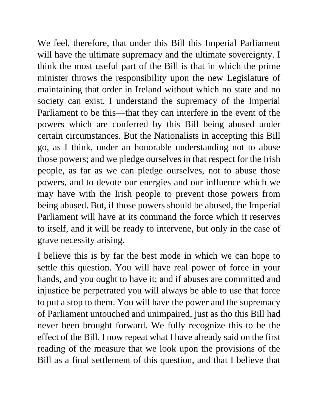We feel, therefore, that under this Bill this Imperial Parliament will have the ultimate supremacy and the ultimate sovereignty. I think the most useful part of the Bill is that in which the prime minister throws the responsibility upon the new Legislature of maintaining that order in Ireland without which no state and no society can exist. I understand the supremacy of the Imperial Parliament to be this—that they can interfere in the event of the powers which are conferred by this Bill being abused under certain circumstances. But the Nationalists in accepting this Bill go, as I think, under an honorable understanding not to abuse those powers; and we pledge ourselves in that respect for the Irish people, as far as we can pledge ourselves, not to abuse those powers, and to devote our energies and our influence which we may have with the Irish people to prevent those powers from being abused. But, if those powers should be abused, the Imperial Parliament will have at its command the force which it reserves to itself, and it will be ready to intervene, but only in the case of grave necessity arising.

I believe this is by far the best mode in which we can hope to settle this question. You will have real power of force in your hands, and you ought to have it; and if abuses are committed and injustice be perpetrated you will always be able to use that force to put a stop to them. You will have the power and the supremacy of Parliament untouched and unimpaired, just as tho this Bill had never been brought forward. We fully recognize this to be the effect of the Bill. I now repeat what I have already said on the first reading of the measure that we look upon the provisions of the Bill as a final settlement of this question, and that I believe that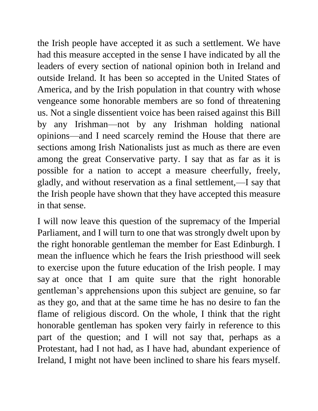the Irish people have accepted it as such a settlement. We have had this measure accepted in the sense I have indicated by all the leaders of every section of national opinion both in Ireland and outside Ireland. It has been so accepted in the United States of America, and by the Irish population in that country with whose vengeance some honorable members are so fond of threatening us. Not a single dissentient voice has been raised against this Bill by any Irishman—not by any Irishman holding national opinions—and I need scarcely remind the House that there are sections among Irish Nationalists just as much as there are even among the great Conservative party. I say that as far as it is possible for a nation to accept a measure cheerfully, freely, gladly, and without reservation as a final settlement,—I say that the Irish people have shown that they have accepted this measure in that sense.

I will now leave this question of the supremacy of the Imperial Parliament, and I will turn to one that was strongly dwelt upon by the right honorable gentleman the member for East Edinburgh. I mean the influence which he fears the Irish priesthood will seek to exercise upon the future education of the Irish people. I may say at once that I am quite sure that the right honorable gentleman's apprehensions upon this subject are genuine, so far as they go, and that at the same time he has no desire to fan the flame of religious discord. On the whole, I think that the right honorable gentleman has spoken very fairly in reference to this part of the question; and I will not say that, perhaps as a Protestant, had I not had, as I have had, abundant experience of Ireland, I might not have been inclined to share his fears myself.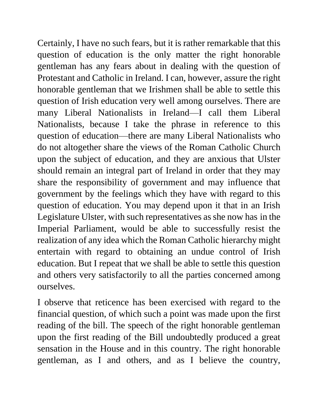Certainly, I have no such fears, but it is rather remarkable that this question of education is the only matter the right honorable gentleman has any fears about in dealing with the question of Protestant and Catholic in Ireland. I can, however, assure the right honorable gentleman that we Irishmen shall be able to settle this question of Irish education very well among ourselves. There are many Liberal Nationalists in Ireland—I call them Liberal Nationalists, because I take the phrase in reference to this question of education—there are many Liberal Nationalists who do not altogether share the views of the Roman Catholic Church upon the subject of education, and they are anxious that Ulster should remain an integral part of Ireland in order that they may share the responsibility of government and may influence that government by the feelings which they have with regard to this question of education. You may depend upon it that in an Irish Legislature Ulster, with such representatives as she now has in the Imperial Parliament, would be able to successfully resist the realization of any idea which the Roman Catholic hierarchy might entertain with regard to obtaining an undue control of Irish education. But I repeat that we shall be able to settle this question and others very satisfactorily to all the parties concerned among ourselves.

I observe that reticence has been exercised with regard to the financial question, of which such a point was made upon the first reading of the bill. The speech of the right honorable gentleman upon the first reading of the Bill undoubtedly produced a great sensation in the House and in this country. The right honorable gentleman, as I and others, and as I believe the country,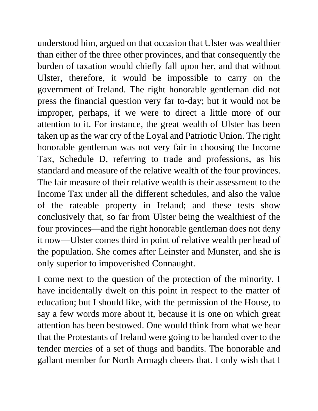understood him, argued on that occasion that Ulster was wealthier than either of the three other provinces, and that consequently the burden of taxation would chiefly fall upon her, and that without Ulster, therefore, it would be impossible to carry on the government of Ireland. The right honorable gentleman did not press the financial question very far to-day; but it would not be improper, perhaps, if we were to direct a little more of our attention to it. For instance, the great wealth of Ulster has been taken up as the war cry of the Loyal and Patriotic Union. The right honorable gentleman was not very fair in choosing the Income Tax, Schedule D, referring to trade and professions, as his standard and measure of the relative wealth of the four provinces. The fair measure of their relative wealth is their assessment to the Income Tax under all the different schedules, and also the value of the rateable property in Ireland; and these tests show conclusively that, so far from Ulster being the wealthiest of the four provinces—and the right honorable gentleman does not deny it now—Ulster comes third in point of relative wealth per head of the population. She comes after Leinster and Munster, and she is only superior to impoverished Connaught.

I come next to the question of the protection of the minority. I have incidentally dwelt on this point in respect to the matter of education; but I should like, with the permission of the House, to say a few words more about it, because it is one on which great attention has been bestowed. One would think from what we hear that the Protestants of Ireland were going to be handed over to the tender mercies of a set of thugs and bandits. The honorable and gallant member for North Armagh cheers that. I only wish that I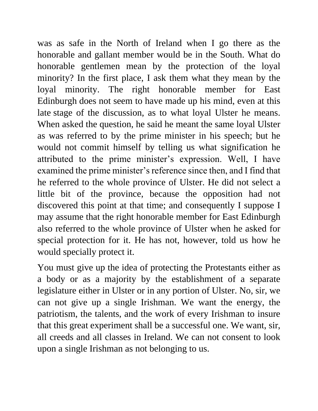was as safe in the North of Ireland when I go there as the honorable and gallant member would be in the South. What do honorable gentlemen mean by the protection of the loyal minority? In the first place, I ask them what they mean by the loyal minority. The right honorable member for East Edinburgh does not seem to have made up his mind, even at this late stage of the discussion, as to what loyal Ulster he means. When asked the question, he said he meant the same loyal Ulster as was referred to by the prime minister in his speech; but he would not commit himself by telling us what signification he attributed to the prime minister's expression. Well, I have examined the prime minister's reference since then, and I find that he referred to the whole province of Ulster. He did not select a little bit of the province, because the opposition had not discovered this point at that time; and consequently I suppose I may assume that the right honorable member for East Edinburgh also referred to the whole province of Ulster when he asked for special protection for it. He has not, however, told us how he would specially protect it.

You must give up the idea of protecting the Protestants either as a body or as a majority by the establishment of a separate legislature either in Ulster or in any portion of Ulster. No, sir, we can not give up a single Irishman. We want the energy, the patriotism, the talents, and the work of every Irishman to insure that this great experiment shall be a successful one. We want, sir, all creeds and all classes in Ireland. We can not consent to look upon a single Irishman as not belonging to us.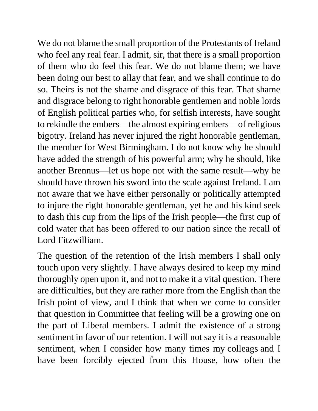We do not blame the small proportion of the Protestants of Ireland who feel any real fear. I admit, sir, that there is a small proportion of them who do feel this fear. We do not blame them; we have been doing our best to allay that fear, and we shall continue to do so. Theirs is not the shame and disgrace of this fear. That shame and disgrace belong to right honorable gentlemen and noble lords of English political parties who, for selfish interests, have sought to rekindle the embers—the almost expiring embers—of religious bigotry. Ireland has never injured the right honorable gentleman, the member for West Birmingham. I do not know why he should have added the strength of his powerful arm; why he should, like another Brennus—let us hope not with the same result—why he should have thrown his sword into the scale against Ireland. I am not aware that we have either personally or politically attempted to injure the right honorable gentleman, yet he and his kind seek to dash this cup from the lips of the Irish people—the first cup of cold water that has been offered to our nation since the recall of Lord Fitzwilliam.

The question of the retention of the Irish members I shall only touch upon very slightly. I have always desired to keep my mind thoroughly open upon it, and not to make it a vital question. There are difficulties, but they are rather more from the English than the Irish point of view, and I think that when we come to consider that question in Committee that feeling will be a growing one on the part of Liberal members. I admit the existence of a strong sentiment in favor of our retention. I will not say it is a reasonable sentiment, when I consider how many times my colleags and I have been forcibly ejected from this House, how often the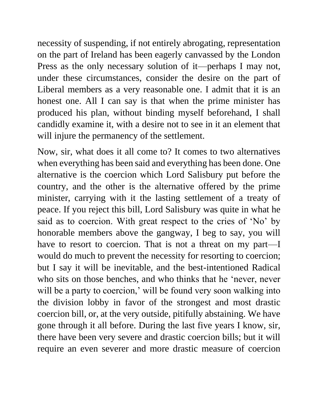necessity of suspending, if not entirely abrogating, representation on the part of Ireland has been eagerly canvassed by the London Press as the only necessary solution of it—perhaps I may not, under these circumstances, consider the desire on the part of Liberal members as a very reasonable one. I admit that it is an honest one. All I can say is that when the prime minister has produced his plan, without binding myself beforehand, I shall candidly examine it, with a desire not to see in it an element that will injure the permanency of the settlement.

Now, sir, what does it all come to? It comes to two alternatives when everything has been said and everything has been done. One alternative is the coercion which Lord Salisbury put before the country, and the other is the alternative offered by the prime minister, carrying with it the lasting settlement of a treaty of peace. If you reject this bill, Lord Salisbury was quite in what he said as to coercion. With great respect to the cries of 'No' by honorable members above the gangway, I beg to say, you will have to resort to coercion. That is not a threat on my part—I would do much to prevent the necessity for resorting to coercion; but I say it will be inevitable, and the best-intentioned Radical who sits on those benches, and who thinks that he 'never, never will be a party to coercion,' will be found very soon walking into the division lobby in favor of the strongest and most drastic coercion bill, or, at the very outside, pitifully abstaining. We have gone through it all before. During the last five years I know, sir, there have been very severe and drastic coercion bills; but it will require an even severer and more drastic measure of coercion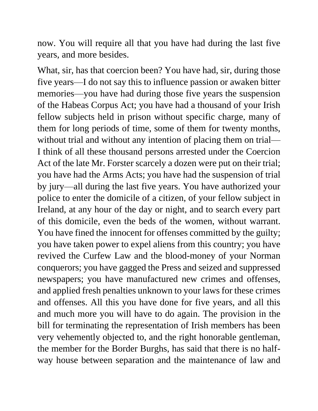now. You will require all that you have had during the last five years, and more besides.

What, sir, has that coercion been? You have had, sir, during those five years—I do not say this to influence passion or awaken bitter memories—you have had during those five years the suspension of the Habeas Corpus Act; you have had a thousand of your Irish fellow subjects held in prison without specific charge, many of them for long periods of time, some of them for twenty months, without trial and without any intention of placing them on trial— I think of all these thousand persons arrested under the Coercion Act of the late Mr. Forster scarcely a dozen were put on their trial; you have had the Arms Acts; you have had the suspension of trial by jury—all during the last five years. You have authorized your police to enter the domicile of a citizen, of your fellow subject in Ireland, at any hour of the day or night, and to search every part of this domicile, even the beds of the women, without warrant. You have fined the innocent for offenses committed by the guilty; you have taken power to expel aliens from this country; you have revived the Curfew Law and the blood-money of your Norman conquerors; you have gagged the Press and seized and suppressed newspapers; you have manufactured new crimes and offenses, and applied fresh penalties unknown to your laws for these crimes and offenses. All this you have done for five years, and all this and much more you will have to do again. The provision in the bill for terminating the representation of Irish members has been very vehemently objected to, and the right honorable gentleman, the member for the Border Burghs, has said that there is no halfway house between separation and the maintenance of law and